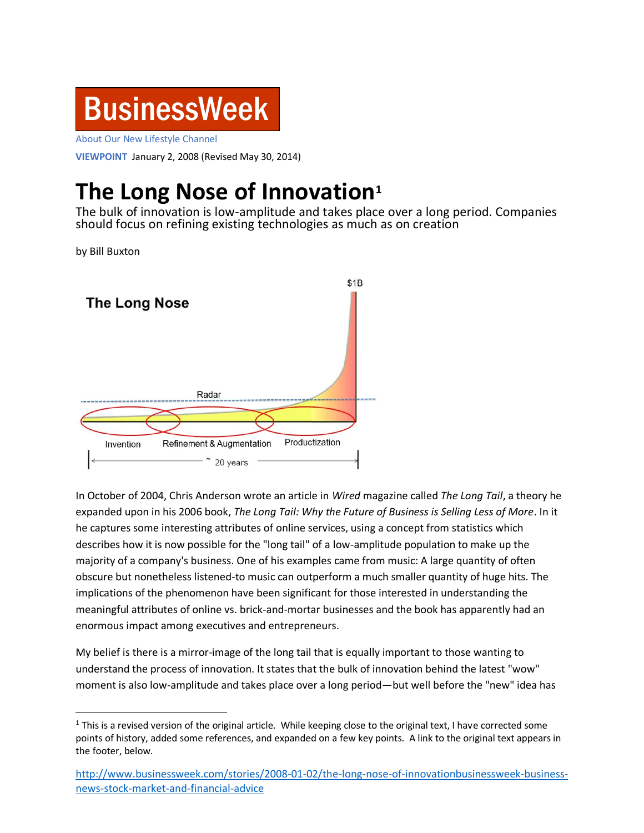

About Our New Lifestyle Channel

**VIEWPOINT** January 2, 2008 (Revised May 30, 2014)

## **The Long Nose of Innovation<sup>1</sup>**

The bulk of innovation is low-amplitude and takes place over a long period. Companies should focus on refining existing technologies as much as on creation

by Bill Buxton

 $\overline{\phantom{a}}$ 



In October of 2004, Chris Anderson wrote an article in *Wired* magazine called *The Long Tail*, a theory he expanded upon in his 2006 book, *The Long Tail: Why the Future of Business is Selling Less of More*. In it he captures some interesting attributes of online services, using a concept from statistics which describes how it is now possible for the "long tail" of a low-amplitude population to make up the majority of a company's business. One of his examples came from music: A large quantity of often obscure but nonetheless listened-to music can outperform a much smaller quantity of huge hits. The implications of the phenomenon have been significant for those interested in understanding the meaningful attributes of online vs. brick-and-mortar businesses and the book has apparently had an enormous impact among executives and entrepreneurs.

My belief is there is a mirror-image of the long tail that is equally important to those wanting to understand the process of innovation. It states that the bulk of innovation behind the latest "wow" moment is also low-amplitude and takes place over a long period—but well before the "new" idea has

 $1$  This is a revised version of the original article. While keeping close to the original text, I have corrected some points of history, added some references, and expanded on a few key points. A link to the original text appears in the footer, below.

[http://www.businessweek.com/stories/2008-01-02/the-long-nose-of-innovationbusinessweek-business](http://www.businessweek.com/stories/2008-01-02/the-long-nose-of-innovationbusinessweek-business-news-stock-market-and-financial-advice)[news-stock-market-and-financial-advice](http://www.businessweek.com/stories/2008-01-02/the-long-nose-of-innovationbusinessweek-business-news-stock-market-and-financial-advice)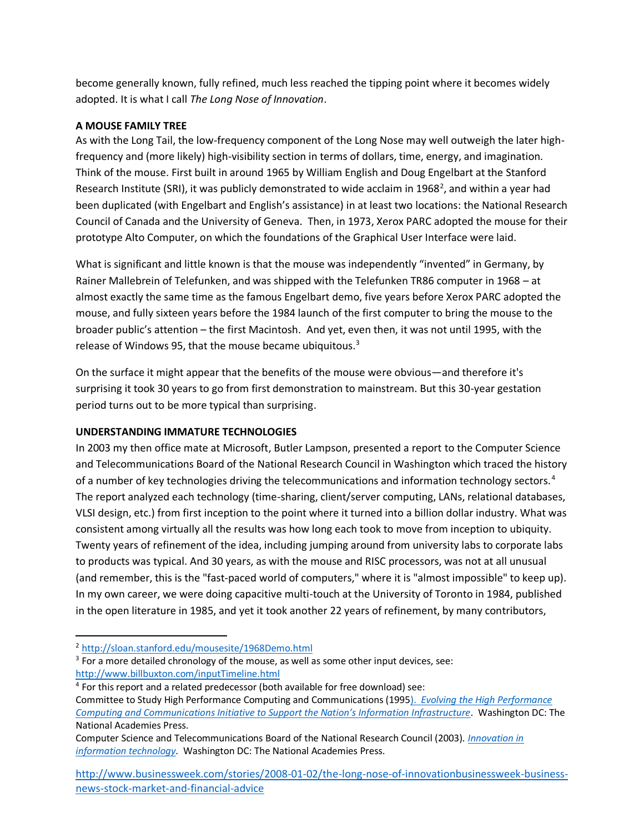become generally known, fully refined, much less reached the tipping point where it becomes widely adopted. It is what I call *The Long Nose of Innovation*.

## **A MOUSE FAMILY TREE**

As with the Long Tail, the low-frequency component of the Long Nose may well outweigh the later highfrequency and (more likely) high-visibility section in terms of dollars, time, energy, and imagination. Think of the mouse. First built in around 1965 by William English and Doug Engelbart at the Stanford Research Institute (SRI), it was publicly demonstrated to wide acclaim in 1968<sup>2</sup>, and within a year had been duplicated (with Engelbart and English's assistance) in at least two locations: the National Research Council of Canada and the University of Geneva. Then, in 1973, Xerox PARC adopted the mouse for their prototype Alto Computer, on which the foundations of the Graphical User Interface were laid.

What is significant and little known is that the mouse was independently "invented" in Germany, by Rainer Mallebrein of Telefunken, and was shipped with the Telefunken TR86 computer in 1968 – at almost exactly the same time as the famous Engelbart demo, five years before Xerox PARC adopted the mouse, and fully sixteen years before the 1984 launch of the first computer to bring the mouse to the broader public's attention – the first Macintosh. And yet, even then, it was not until 1995, with the release of Windows 95, that the mouse became ubiquitous. $3$ 

On the surface it might appear that the benefits of the mouse were obvious—and therefore it's surprising it took 30 years to go from first demonstration to mainstream. But this 30-year gestation period turns out to be more typical than surprising.

## **UNDERSTANDING IMMATURE TECHNOLOGIES**

In 2003 my then office mate at Microsoft, Butler Lampson, presented a report to the Computer Science and Telecommunications Board of the National Research Council in Washington which traced the history of a number of key technologies driving the telecommunications and information technology sectors.<sup>4</sup> The report analyzed each technology (time-sharing, client/server computing, LANs, relational databases, VLSI design, etc.) from first inception to the point where it turned into a billion dollar industry. What was consistent among virtually all the results was how long each took to move from inception to ubiquity. Twenty years of refinement of the idea, including jumping around from university labs to corporate labs to products was typical. And 30 years, as with the mouse and RISC processors, was not at all unusual (and remember, this is the "fast-paced world of computers," where it is "almost impossible" to keep up). In my own career, we were doing capacitive multi-touch at the University of Toronto in 1984, published in the open literature in 1985, and yet it took another 22 years of refinement, by many contributors,

 $3$  For a more detailed chronology of the mouse, as well as some other input devices, see: <http://www.billbuxton.com/inputTimeline.html>

[http://www.businessweek.com/stories/2008-01-02/the-long-nose-of-innovationbusinessweek-business](http://www.businessweek.com/stories/2008-01-02/the-long-nose-of-innovationbusinessweek-business-news-stock-market-and-financial-advice)[news-stock-market-and-financial-advice](http://www.businessweek.com/stories/2008-01-02/the-long-nose-of-innovationbusinessweek-business-news-stock-market-and-financial-advice)

 $\overline{a}$ <sup>2</sup> <http://sloan.stanford.edu/mousesite/1968Demo.html>

<sup>&</sup>lt;sup>4</sup> For this report and a related predecessor (both available for free download) see: Committee to Study High Performance Computing and Communications (1995). *[Evolving the High Performance](http://www.nap.edu/openbook.php?record_id=4948)  Computing and [Communications Initiative to Support the Nation's Information Infrastructure](http://www.nap.edu/openbook.php?record_id=4948)*. Washington DC: The National Academies Press.

Computer Science and Telecommunications Board of the National Research Council (2003). *[Innovation in](http://www.nap.edu/openbook.php?record_id=10795&page=5)  [information technology](http://www.nap.edu/openbook.php?record_id=10795&page=5)*. Washington DC: The National Academies Press.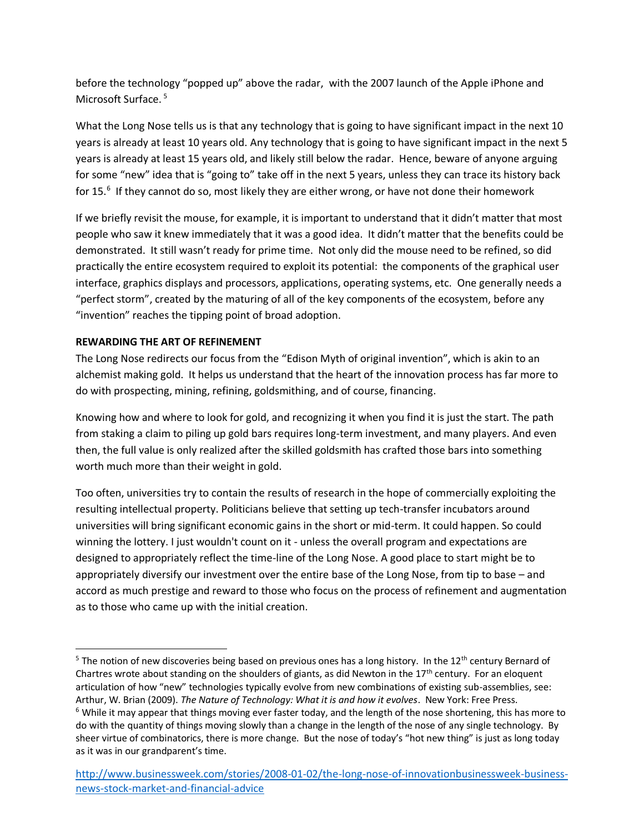before the technology "popped up" above the radar, with the 2007 launch of the Apple iPhone and Microsoft Surface.<sup>5</sup>

What the Long Nose tells us is that any technology that is going to have significant impact in the next 10 years is already at least 10 years old. Any technology that is going to have significant impact in the next 5 years is already at least 15 years old, and likely still below the radar. Hence, beware of anyone arguing for some "new" idea that is "going to" take off in the next 5 years, unless they can trace its history back for 15.<sup>6</sup> If they cannot do so, most likely they are either wrong, or have not done their homework

If we briefly revisit the mouse, for example, it is important to understand that it didn't matter that most people who saw it knew immediately that it was a good idea. It didn't matter that the benefits could be demonstrated. It still wasn't ready for prime time. Not only did the mouse need to be refined, so did practically the entire ecosystem required to exploit its potential: the components of the graphical user interface, graphics displays and processors, applications, operating systems, etc. One generally needs a "perfect storm", created by the maturing of all of the key components of the ecosystem, before any "invention" reaches the tipping point of broad adoption.

## **REWARDING THE ART OF REFINEMENT**

 $\overline{a}$ 

The Long Nose redirects our focus from the "Edison Myth of original invention", which is akin to an alchemist making gold. It helps us understand that the heart of the innovation process has far more to do with prospecting, mining, refining, goldsmithing, and of course, financing.

Knowing how and where to look for gold, and recognizing it when you find it is just the start. The path from staking a claim to piling up gold bars requires long-term investment, and many players. And even then, the full value is only realized after the skilled goldsmith has crafted those bars into something worth much more than their weight in gold.

Too often, universities try to contain the results of research in the hope of commercially exploiting the resulting intellectual property. Politicians believe that setting up tech-transfer incubators around universities will bring significant economic gains in the short or mid-term. It could happen. So could winning the lottery. I just wouldn't count on it - unless the overall program and expectations are designed to appropriately reflect the time-line of the Long Nose. A good place to start might be to appropriately diversify our investment over the entire base of the Long Nose, from tip to base – and accord as much prestige and reward to those who focus on the process of refinement and augmentation as to those who came up with the initial creation.

<sup>&</sup>lt;sup>5</sup> The notion of new discoveries being based on previous ones has a long history. In the 12<sup>th</sup> century Bernard of Chartres wrote about standing on the shoulders of giants, as did Newton in the 17<sup>th</sup> century. For an eloquent articulation of how "new" technologies typically evolve from new combinations of existing sub-assemblies, see: Arthur, W. Brian (2009). *The Nature of Technology: What it is and how it evolves*. New York: Free Press.  $6$  While it may appear that things moving ever faster today, and the length of the nose shortening, this has more to do with the quantity of things moving slowly than a change in the length of the nose of any single technology. By sheer virtue of combinatorics, there is more change. But the nose of today's "hot new thing" is just as long today as it was in our grandparent's time.